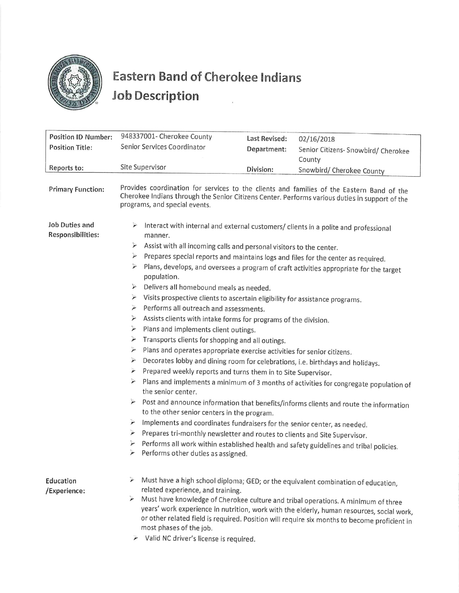

## Eastern Band of Cherokee Indians Job Description Position ID Number: 948337001- Cherokee County Last Revised: 02/16/2018

|                                            |                                                                                                                                                                                                                              | <b>Eastern Band of Cherokee Indians</b>                                                                 |                              |                                                                                              |  |
|--------------------------------------------|------------------------------------------------------------------------------------------------------------------------------------------------------------------------------------------------------------------------------|---------------------------------------------------------------------------------------------------------|------------------------------|----------------------------------------------------------------------------------------------|--|
|                                            |                                                                                                                                                                                                                              | Job Description                                                                                         |                              |                                                                                              |  |
| <b>Position ID Number:</b>                 |                                                                                                                                                                                                                              | 948337001- Cherokee County                                                                              |                              |                                                                                              |  |
| <b>Position Title:</b>                     |                                                                                                                                                                                                                              | Senior Services Coordinator                                                                             | Last Revised:<br>Department: | 02/16/2018<br>Senior Citizens- Snowbird/ Cherokee                                            |  |
| Reports to:                                |                                                                                                                                                                                                                              | Site Supervisor                                                                                         | Division:                    | County<br>Snowbird/ Cherokee County                                                          |  |
| <b>Primary Function:</b>                   | Provides coordination for services to the clients and families of the Eastern Band of the<br>Cherokee Indians through the Senior Citizens Center. Performs various duties in support of the<br>programs, and special events. |                                                                                                         |                              |                                                                                              |  |
| <b>Job Duties and</b><br>Responsibilities: | $\overline{r}$                                                                                                                                                                                                               | manner.                                                                                                 |                              | Interact with internal and external customers/ clients in a polite and professional          |  |
|                                            | シ                                                                                                                                                                                                                            | Assist with all incoming calls and personal visitors to the center.                                     |                              |                                                                                              |  |
|                                            | ジ                                                                                                                                                                                                                            |                                                                                                         |                              | Prepares special reports and maintains logs and files for the center as required.            |  |
|                                            | ⋗                                                                                                                                                                                                                            | population.                                                                                             |                              | Plans, develops, and oversees a program of craft activities appropriate for the target       |  |
|                                            | ジ                                                                                                                                                                                                                            | Delivers all homebound meals as needed.                                                                 |                              |                                                                                              |  |
|                                            | ⊁                                                                                                                                                                                                                            | Visits prospective clients to ascertain eligibility for assistance programs.                            |                              |                                                                                              |  |
|                                            | ⋗<br>$\ddot{r}$                                                                                                                                                                                                              | Performs all outreach and assessments.                                                                  |                              |                                                                                              |  |
|                                            | ⋗                                                                                                                                                                                                                            | Assists clients with intake forms for programs of the division.<br>Plans and implements client outings. |                              |                                                                                              |  |
|                                            | ⋗                                                                                                                                                                                                                            | Transports clients for shopping and all outings.                                                        |                              |                                                                                              |  |
|                                            | è                                                                                                                                                                                                                            | Plans and operates appropriate exercise activities for senior citizens.                                 |                              |                                                                                              |  |
|                                            | 字                                                                                                                                                                                                                            | Decorates lobby and dining room for celebrations, i.e. birthdays and holidays.                          |                              |                                                                                              |  |
|                                            | 产                                                                                                                                                                                                                            | Prepared weekly reports and turns them in to Site Supervisor.                                           |                              |                                                                                              |  |
|                                            |                                                                                                                                                                                                                              | the senior center.                                                                                      |                              | Plans and implements a minimum of 3 months of activities for congregate population of        |  |
|                                            |                                                                                                                                                                                                                              | to the other senior centers in the program.                                                             |                              | Post and announce information that benefits/informs clients and route the information        |  |
|                                            | $\overline{r}$                                                                                                                                                                                                               | Implements and coordinates fundraisers for the senior center, as needed.                                |                              |                                                                                              |  |
|                                            | r                                                                                                                                                                                                                            | Prepares tri-monthly newsletter and routes to clients and Site Supervisor.                              |                              |                                                                                              |  |
|                                            |                                                                                                                                                                                                                              | $\geq$ Performs other duties as assigned.                                                               |                              | Performs all work within established health and safety guidelines and tribal policies.       |  |
|                                            |                                                                                                                                                                                                                              |                                                                                                         |                              |                                                                                              |  |
| Education<br>/Experience:                  | ⋗                                                                                                                                                                                                                            | related experience, and training.                                                                       |                              | Must have a high school diploma; GED; or the equivalent combination of education,            |  |
|                                            | 冫                                                                                                                                                                                                                            |                                                                                                         |                              | Must have knowledge of Cherokee culture and tribal operations. A minimum of three            |  |
|                                            |                                                                                                                                                                                                                              |                                                                                                         |                              | years' work experience in nutrition, work with the elderly, human resources, social work,    |  |
|                                            |                                                                                                                                                                                                                              |                                                                                                         |                              |                                                                                              |  |
|                                            |                                                                                                                                                                                                                              | most phases of the job.                                                                                 |                              | or other related field is required. Position will require six months to become proficient in |  |

 $\geq$  Valid NC driver's license is required.